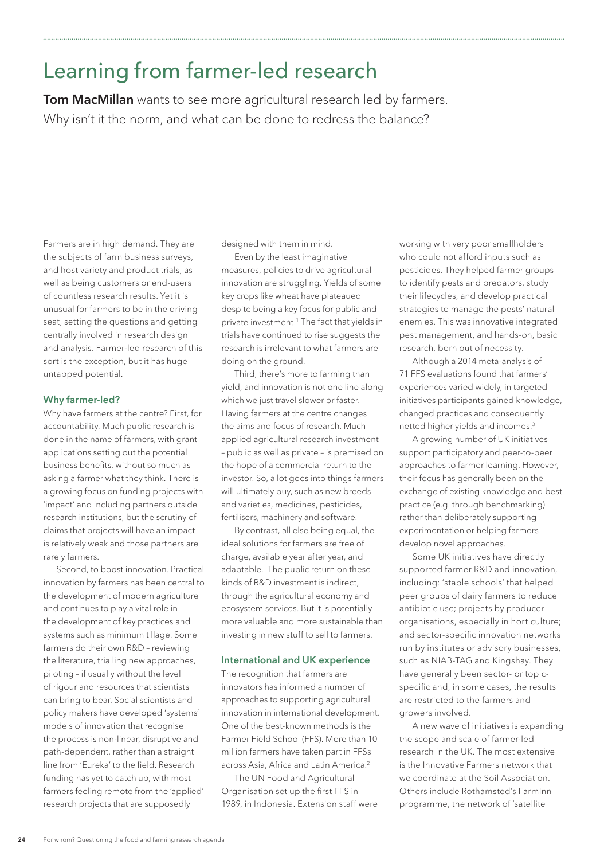# Learning from farmer-led research

**Tom MacMillan** wants to see more agricultural research led by farmers. Why isn't it the norm, and what can be done to redress the balance?

Farmers are in high demand. They are the subjects of farm business surveys, and host variety and product trials, as well as being customers or end-users of countless research results. Yet it is unusual for farmers to be in the driving seat, setting the questions and getting centrally involved in research design and analysis. Farmer-led research of this sort is the exception, but it has huge untapped potential.

## **Why farmer-led?**

Why have farmers at the centre? First, for accountability. Much public research is done in the name of farmers, with grant applications setting out the potential business benefits, without so much as asking a farmer what they think. There is a growing focus on funding projects with 'impact' and including partners outside research institutions, but the scrutiny of claims that projects will have an impact is relatively weak and those partners are rarely farmers.

Second, to boost innovation. Practical innovation by farmers has been central to the development of modern agriculture and continues to play a vital role in the development of key practices and systems such as minimum tillage. Some farmers do their own R&D – reviewing the literature, trialling new approaches, piloting – if usually without the level of rigour and resources that scientists can bring to bear. Social scientists and policy makers have developed 'systems' models of innovation that recognise the process is non-linear, disruptive and path-dependent, rather than a straight line from 'Eureka' to the field. Research funding has yet to catch up, with most farmers feeling remote from the 'applied' research projects that are supposedly

designed with them in mind.

Even by the least imaginative measures, policies to drive agricultural innovation are struggling. Yields of some key crops like wheat have plateaued despite being a key focus for public and private investment.1 The fact that yields in trials have continued to rise suggests the research is irrelevant to what farmers are doing on the ground.

Third, there's more to farming than yield, and innovation is not one line along which we just travel slower or faster. Having farmers at the centre changes the aims and focus of research. Much applied agricultural research investment – public as well as private – is premised on the hope of a commercial return to the investor. So, a lot goes into things farmers will ultimately buy, such as new breeds and varieties, medicines, pesticides, fertilisers, machinery and software.

By contrast, all else being equal, the ideal solutions for farmers are free of charge, available year after year, and adaptable. The public return on these kinds of R&D investment is indirect, through the agricultural economy and ecosystem services. But it is potentially more valuable and more sustainable than investing in new stuff to sell to farmers.

#### **International and UK experience**

The recognition that farmers are innovators has informed a number of approaches to supporting agricultural innovation in international development. One of the best-known methods is the Farmer Field School (FFS). More than 10 million farmers have taken part in FFSs across Asia, Africa and Latin America.<sup>2</sup>

The UN Food and Agricultural Organisation set up the first FFS in 1989, in Indonesia. Extension staff were working with very poor smallholders who could not afford inputs such as pesticides. They helped farmer groups to identify pests and predators, study their lifecycles, and develop practical strategies to manage the pests' natural enemies. This was innovative integrated pest management, and hands-on, basic research, born out of necessity.

Although a 2014 meta-analysis of 71 FFS evaluations found that farmers' experiences varied widely, in targeted initiatives participants gained knowledge, changed practices and consequently netted higher yields and incomes.3

A growing number of UK initiatives support participatory and peer-to-peer approaches to farmer learning. However, their focus has generally been on the exchange of existing knowledge and best practice (e.g. through benchmarking) rather than deliberately supporting experimentation or helping farmers develop novel approaches.

Some UK initiatives have directly supported farmer R&D and innovation, including: 'stable schools' that helped peer groups of dairy farmers to reduce antibiotic use; projects by producer organisations, especially in horticulture; and sector-specific innovation networks run by institutes or advisory businesses, such as NIAB-TAG and Kingshay. They have generally been sector- or topicspecific and, in some cases, the results are restricted to the farmers and growers involved.

A new wave of initiatives is expanding the scope and scale of farmer-led research in the UK. The most extensive is the Innovative Farmers network that we coordinate at the Soil Association. Others include Rothamsted's FarmInn programme, the network of 'satellite